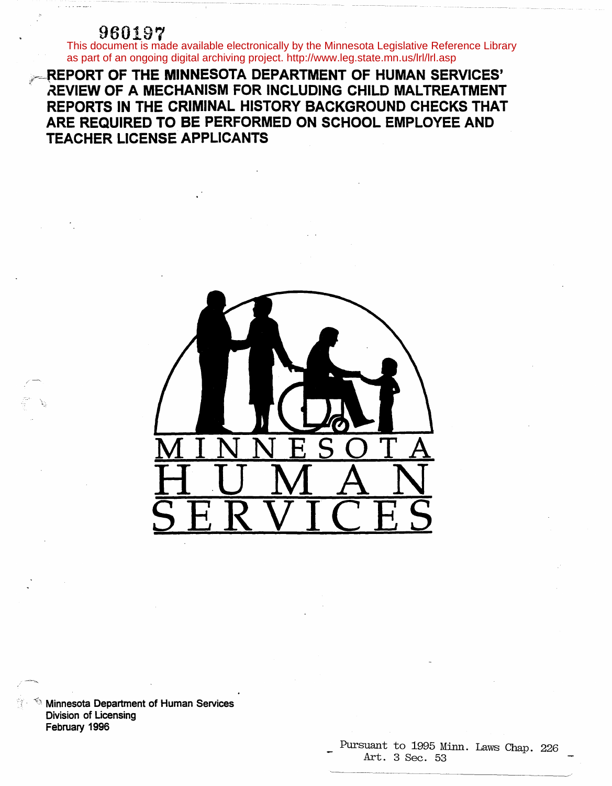960197<br>This document is made available electronically by the Minnesota Legislative Reference Library as part of an ongoing digital archiving project. http://www.leg.state.mn.us/lrl/lrl.asp

**REPORT OF THE MINNESOTA DEPARTMENT OF HUMAN SERVICES' REVIEW OF A MECHANISM FOR INCLUDING CHILD MALTREATMENT REPORTS IN THE CRIMINAL HISTORY BACKGROUND CHECKS THAT ARE REQUIRED TO BE PERFORMED ON SCHOOL EMPLOYEE AND TEACHER LICENSE APPLICANTS** 



 $\mathbb{R}$  Minnesota Department of Human Services Division of Licensing February 1996

---

# Pursuant to 1995 Minn. Laws Chap. 226<br>Art. 3 Sec. 53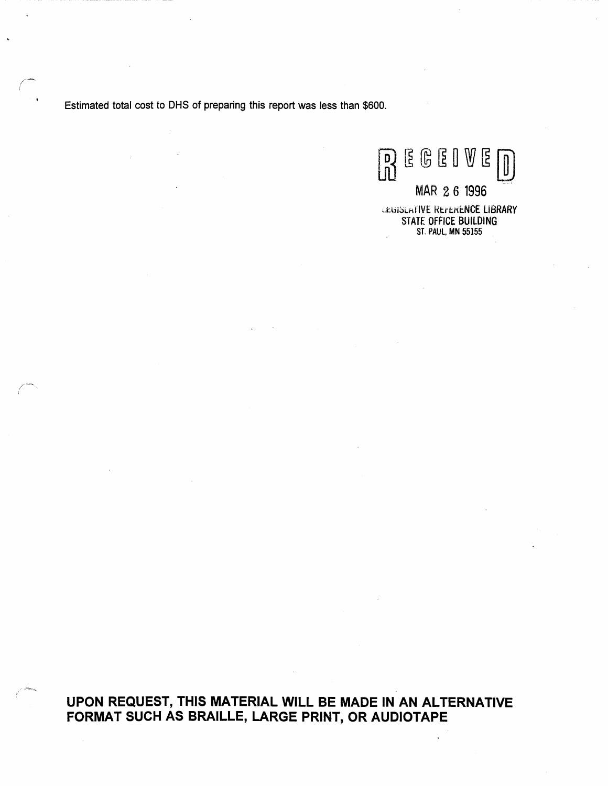Estimated total cost to OHS of preparing this report was less than \$600.

/~ (

 $\overline{\phantom{a}}$ 

**B** E G E I V E D

d:.bi~Lr\llVE HtttKi:.NCE LIBRARY STATE OFFICE BUILDING ST. PAUL, MN 55155

MAR 26 1996

**UPON REQUEST, THIS MATERIAL WILL BE MADE IN AN ALTERNATIVE FORMAT SUCH AS BRAILLE, LARGE PRINT, OR AUDIOTAPE**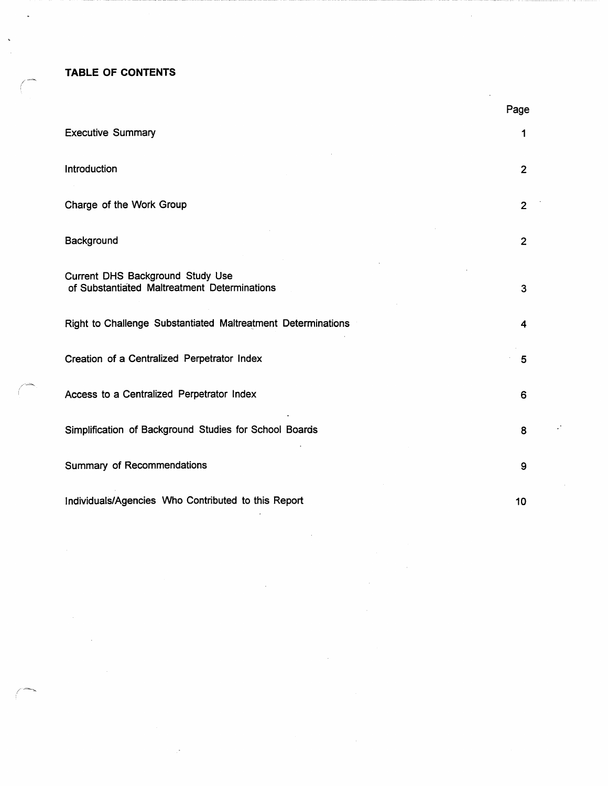**TABLE OF CONTENTS** /-

I

 $\ddot{\phantom{0}}$ 

/------=::::....\_

 $\diagup$ 

|                                                                                  | Page           |
|----------------------------------------------------------------------------------|----------------|
| <b>Executive Summary</b>                                                         | 1              |
| Introduction                                                                     | $\overline{2}$ |
| Charge of the Work Group                                                         | $\overline{2}$ |
| Background                                                                       | $\overline{2}$ |
| Current DHS Background Study Use<br>of Substantiated Maltreatment Determinations | 3              |
| Right to Challenge Substantiated Maltreatment Determinations                     | 4              |
| Creation of a Centralized Perpetrator Index                                      | 5              |
| Access to a Centralized Perpetrator Index                                        | 6              |
| Simplification of Background Studies for School Boards                           | 8              |
| Summary of Recommendations                                                       | 9              |
| Individuals/Agencies Who Contributed to this Report                              | 10             |

 $\mathcal{A}$ 

 $\mathcal{A}$ 

 $\cdot$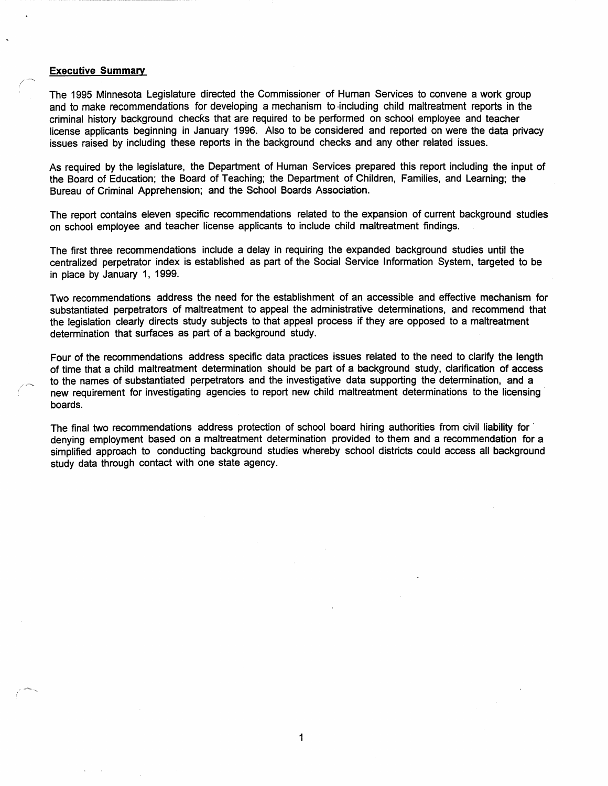## **Executive Summary**

(

 $\diagup$ 

/-=-, *I* 

> The 1995 Minnesota Legislature directed the Commissioner of Human Services to convene a work group and to make recommendations for developing a mechanism to -including child maltreatment reports in the criminal history background checks that are required to be performed on school employee and teacher license applicants beginning in January 1996. Also to be considered and reported on were the data privacy issues raised by including these reports in the background checks and any other related issues.

> As required by the legislature, the Department of Human Services prepared this report including the input of the Board of Education; the Board of Teaching; the Department of Children, Families, and Learning; the Bureau of Criminal Apprehension; and the School Boards Association.

> The report contains eleven specific recommendations related to the expansion of current background studies on school employee and teacher license applicants to include child maltreatment findings.

The first three recommendations include a delay in requiring the expanded background studies until the centralized perpetrator index is established as part of the Social Service Information System, targeted to be in place by January 1, 1999.

Two recommendations address the need for the establishment of an accessible and effective mechanism for substantiated perpetrators of maltreatment to appeal the administrative determinations, and recommend that the legislation clearly directs study subjects to that appeal process if they are opposed to a maltreatment determination that surfaces as part of a background study.

Four of the recommendations address specific data practices issues related to the need to clarify the length of time that a child maltreatment determination should be part of a background study, clarification of access to the names of substantiated perpetrators and the investigative data supporting the determination, and a new requirement for investigating agencies to report new child maltreatment determinations to the licensing boards.

The final two recommendations address protection of school board hiring authorities from civil liability for · denying employment based on a maltreatment determination provided to them and a recommendation for a simplified approach to conducting background studies whereby school districts could access all background study data through contact with one state agency.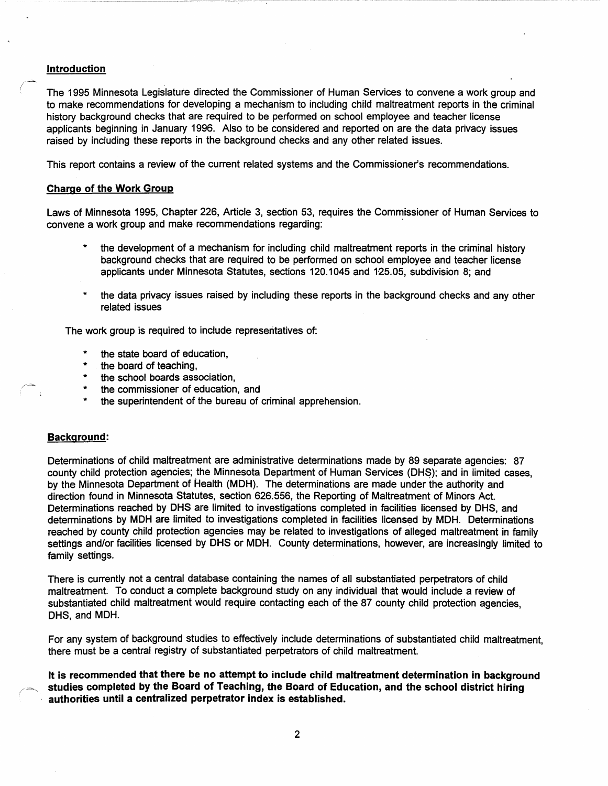# **Introduction**

*(~* 

The 1995 Minnesota Legislature directed the Commissioner of Human Services to convene a work group and to make recommendations for developing a mechanism to including child maltreatment reports in the criminal history background checks that are required to be performed on school employee and teacher license applicants beginning in January 1996. Also to be considered and reported on are the data privacy issues raised by including these reports in the background checks and any other related issues.

This report contains a review of the current related systems and the Commissioner's recommendations.

# **Charge of the Work Group**

Laws of Minnesota 1995, Chapter 226, Article 3, section 53, requires the Commissioner of Human Services to convene a work group and make recommendations regarding:

- the development of a mechanism for including child maltreatment reports in the criminal history background checks that are required to be performed on school employee and teacher license applicants under Minnesota Statutes, sections 120.1045 and 125.05, subdivision 8; and
- the data privacy issues raised by including these reports in the background checks and any other related issues

The work group is required to include representatives of:

- the state board of education,
- the board of teaching,
- the school boards association.
- the commissioner of education, and
- the superintendent of the bureau of criminal apprehension.

# **Background:**

/--=--

Determinations of child maltreatment are administrative determinations made by 89 separate agencies: 87 county child protection agencies; the Minnesota Department of Human Services (DHS); and in limited cases, by the Minnesota Department of Health (MOH). The determinations are made under the authority and direction found in Minnesota Statutes, section 626.556, the Reporting of Maltreatment of Minors Act. Determinations reached by OHS are limited to investigations completed in facilities licensed by OHS, and determinations by MOH are limited to investigations completed in facilities licensed by MOH. Determinations reached by county child protection agencies may be related to investigations of alleged maltreatment in family settings and/or facilities licensed by DHS or MDH. County determinations, however, are increasingly limited to family settings.

There is currently not a central database containing the names of all substantiated perpetrators of child maltreatment. To conduct a complete background study on any individual that would include a review of substantiated child maltreatment would require contacting each of the 87 county child protection agencies, OHS, and MOH.

For any system of background studies to effectively include determinations of substantiated child maltreatment, there must be a central registry of substantiated perpetrators of child maltreatment.

**It is recommended that there be no attempt to include child maltreatment determination in background**  */* =-~ **studies completed by the Board of Teaching, the Board of Education, and the school district hiring authorities until a centralized perpetrator index is established.**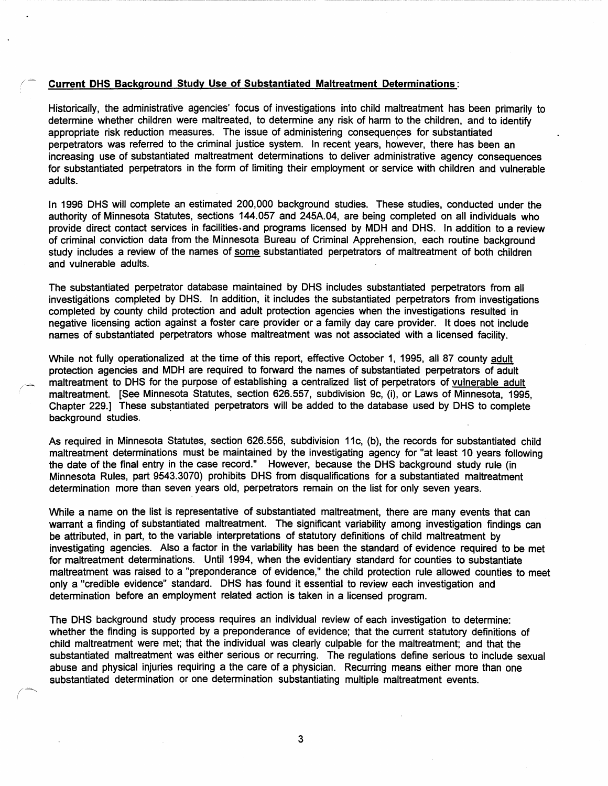#### / - **Current DHS Background Study Use of Substantiated Maltreatment Determinations:**

Historically, the administrative agencies' focus of investigations into child maltreatment has been primarily to determine whether children were maltreated, to determine any risk of harm to the children, and to identify appropriate risk reduction measures. The issue of administering consequences for substantiated perpetrators was referred to the criminal justice system. In recent years, however, there has been an increasing use of substantiated maltreatment determinations to deliver administrative agency consequences for substantiated perpetrators in the form of limiting their employment or service with children and vulnerable adults.

In 1996 OHS will complete an estimated 200,000 background studies. These studies, conducted under the authority of Minnesota Statutes, sections 144.057 and 245A.04, are being completed on all individuals who provide direct contact services in facilities.and programs licensed by MOH and OHS. In addition to a review of criminal conviction data from the Minnesota Bureau of Criminal Apprehension, each routine background study includes a review of the names of some substantiated perpetrators of maltreatment of both children and vulnerable adults.

The substantiated perpetrator database maintained by OHS includes substantiated perpetrators from all investigations completed by OHS. In addition, it includes the substantiated perpetrators from investigations completed by county child protection and adult protection agencies when the investigations resulted in negative licensing action against a foster care provider or a family day care provider. It does not include names of substantiated perpetrators whose maltreatment was not associated with a licensed facility.

While not fully operationalized at the time of this report, effective October 1, 1995, all 87 county adult protection agencies and MOH are required to forward the names of substantiated perpetrators of adult maltreatment to OHS for the purpose of establishing a centralized list of perpetrators of vulnerable adult maltreatment. [See Minnesota Statutes, section 626.557, subdivision 9c, (i), or Laws of Minnesota, 1995, Chapter 229.] These substantiated perpetrators will be added to the database used by DHS to complete background studies.

As required in Minnesota Statutes, section 626.556, subdivision 11c, (b), the records for substantiated child maltreatment determinations must be maintained by the investigating agency for "at least 10 years following the date of the final entry in the case record." However, because the OHS background study rule (in Minnesota Rules, part 9543.3070) prohibits DHS from disqualifications for a substantiated maltreatment determination more than seven years old, perpetrators remain on the list for only seven years.

While a name on the list is representative of substantiated maltreatment, there are many events that can warrant a finding of substantiated maltreatment. The significant variability among investigation findings can be attributed, in part, to the variable interpretations of statutory definitions of child maltreatment by investigating agencies. Also a factor in the variability has been the standard of evidence required to be met for maltreatment determinations. Until 1994, when the evidentiary standard for counties to substantiate maltreatment was raised to a "preponderance of evidence," the child protection rule allowed counties to meet only a "credible evidence" standard. OHS has found· it essential to review each investigation and determination before an employment related action is taken in a licensed program.

The OHS background study process requires an individual review of each investigation to determine: whether the finding is supported by a preponderance of evidence; that the current statutory definitions of child maltreatment were met; that the individual was clearly culpable for the maltreatment; and that the substantiated maltreatment was either serious or recurring. The regulations define serious to include sexual abuse and physical injuries requiring a the care of a physician. Recurring means either more than one substantiated determination or one determination substantiating multiple maltreatment events.

*(~* 

3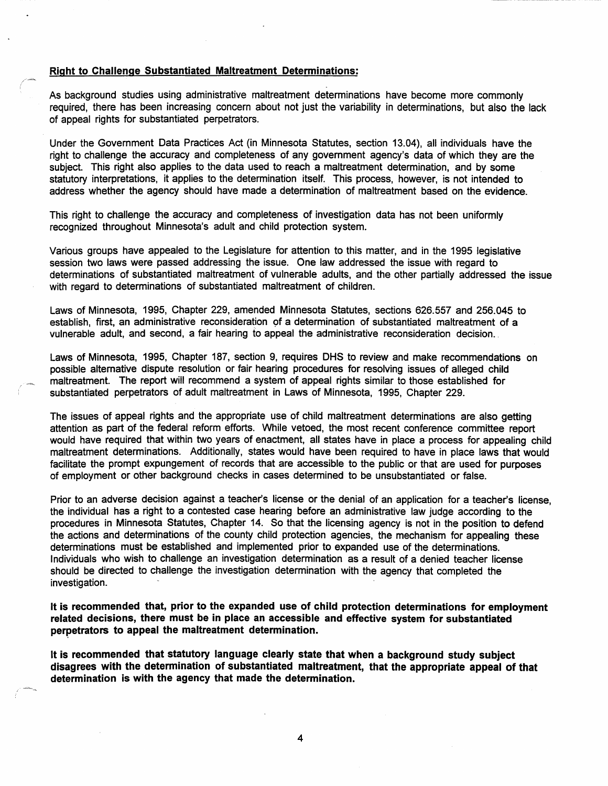## **Right to Challenge Substantiated Maltreatment Determinations:**

As background studies using administrative maltreatment determinations have become more commonly required, there has been increasing concern about not just the variability in determinations, but also the lack of appeal rights for substantiated perpetrators.

Under the Government Data Practices Act (in Minnesota Statutes, section 13.04), all individuals have the right to challenge the accuracy and completeness of any government agency's data of which they are the subject. This right also applies to the data used to reach a maltreatment determination, and by some statutory interpretations, it applies to the determination itself. This process, however, is not intended to address whether the agency should have made a determination of maltreatment based on the evidence.

This right to challenge the accuracy and completeness of investigation data has not been uniformly recognized throughout Minnesota's adult and child protection system.

Various groups have appealed to the Legislature for attention to this matter, and in the 1995 legislative session two laws were passed addressing the issue. One law addressed the issue with regard to determinations of substantiated maltreatment of vulnerable adults, and the other partially addressed the issue with regard to determinations of substantiated maltreatment of children.

Laws of Minnesota, 1995, Chapter 229, amended Minnesota Statutes, sections 626.557 and 256.045 to establish, first, an administrative reconsideration of a determination of substantiated maltreatment of a vulnerable adult, and second, a fair hearing fo appeal the administrative reconsideration decision ..

Laws of Minnesota, 1995, Chapter 187, section 9, requires DHS to review and make recommendations on possible alternative dispute resolution or fair hearing procedures for resolving issues of alleged child maltreatment. The report will recommend a system of appeal rights similar to those established for substantiated perpetrators of adult maltreatment in Laws of Minnesota, 1995, Chapter 229.

The issues of appeal rights and the appropriate use of child maltreatment determinations are also getting attention as part of the federal reform efforts. While vetoed, the most recent conference committee report would have required that within two years of enactment, all states have in place a process for appealing child maltreatment determinations. Additionally, states would have been required to have in place laws that would facilitate the prompt expungement of records that are accessible to the public or that are used for purposes of employment or other background checks in cases determined to be unsubstantiated or false.

Prior to an adverse decision against a teacher's license or the denial of an application for a teacher's license, the individual has a right to a contested case hearing before an administrative law judge according to the procedures in Minnesota Statutes, Chapter 14. So that the licensing agency is not in the position to defend the actions and determinations of the county child protection agencies, the mechanism for appealing these determinations must be established and implemented prior to expanded use of the determinations. Individuals who wish to challenge an investigation determination as a result of a denied teacher license should be directed to challenge the investigation determination with the agency that completed the investigation.

**It is recommended that, prior to the expanded use of child protection determinations for employment related decisions, there must be in place an accessible and effective system for substantiated**  perpetrators to appeal the maltreatment determination.

**It is recommended that statutory language clearly state that when a background study subject disagrees with the determination of substantiated maltreatment, that the appropriate appeal of that determination is with the agency that made the determination.** 

4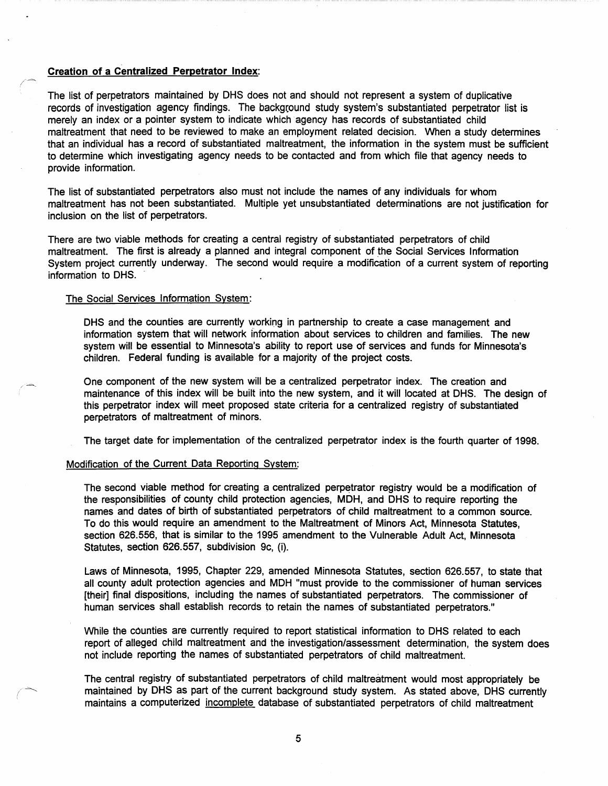# **Creation of a Centralized Perpetrator Index:**

The list of perpetrators maintained by OHS does not and should not represent a system of duplicative records of investigation agency findings. The background study system's substantiated perpetrator list is merely an index or a pointer system to indicate which agency has records of substantiated child maltreatment that need to be reviewed to make an employment related decision. When a study determines that an individual has a record of substantiated maltreatment, the information in the system must be sufficient to determine which investigating agency needs to be contacted and from which file that agency needs to provide information.

The list of substantiated perpetrators also must not include the names of any individuals for whom maltreatment has not been substantiated. Multiple yet unsubstantiated determinations are not justification for inclusion on the list of perpetrators.

There are two viable methods for creating a central registry of substantiated perpetrators of child maltreatment. The first is already a planned and integral component of the Social Services Information System project currently underway. The second would require a modification of a current system of reporting information to OHS.

#### The Social Services Information System:

 $-$ 

*(~* 

OHS and the counties are currently working in partnership to create a case management and information system that will network information about services to children and families. The new system will be essential to Minnesota's ability to report use of services and funds for Minnesota's children. Federal funding is available for a majority of the project costs.

One component of the new system will be a centralized perpetrator index. The creation and maintenance of this index will be built into the new system, and it will located at OHS. The design of this perpetrator index will meet proposed state criteria for a centralized registry of substantiated perpetrators of maltreatment of minors.

The target date for implementation of the centralized perpetrator index is the fourth quarter of 1998.

# Modification of the Current Data Reporting System:

The second viable method for creating a centralized perpetrator registry would be a modification of the responsibilities of county child protection agencies, MOH, and OHS to require reporting the names and dates of birth of substantiated perpetrators of child maltreatment to a common source. To do this would require an amendment to the Maltreatment of Minors Act, Minnesota Statutes, section 626.556, that is similar to the 1995 amendment to the Vulnerable Adult Act, Minnesota Statutes, section 626.557, subdivision 9c, (i).

Laws of Minnesota, 1995, Chapter 229, amended Minnesota Statutes, section 626.557, to state that all county adult protection agencies and MOH "must provide to the commissioner of human services (their] final dispositions, including the names of substantiated perpetrators. The commissioner of human services shall establish records to retain the names of substantiated perpetrators."

While the counties are currently required to report statistical information to OHS related to each report of alleged child maltreatment and the investigation/assessment determination, the system does not include reporting the names of substantiated perpetrators of child maltreatment.

The central registry of substantiated perpetrators of child maltreatment would most appropriately be maintained by OHS as part of the current background study system. As stated above, OHS currently maintains a computerized incomplete database of substantiated perpetrators of child maltreatment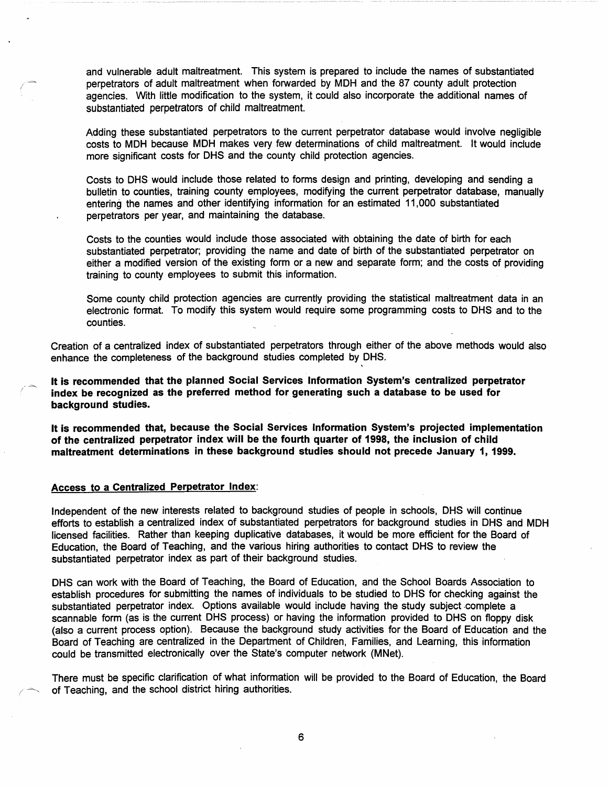and vulnerable adult maltreatment. This system is prepared to include the names of substantiated perpetrators of adult maltreatment when forwarded by MOH and the 87 county adult protection agencies. With little modification to the system, it could also incorporate the additional names of substantiated perpetrators of child maltreatment.

Adding these substantiated perpetrators to the current perpetrator database would involve negligible costs to MOH because MOH makes very few determinations of child maltreatment. It would include more significant costs for OHS and the county child protection agencies.

Costs to OHS would include those related to forms design and printing, developing and sending a bulletin to counties, training county employees, modifying the current perpetrator database, manually entering the names and other identifying information for an estimated 11,000 substantiated perpetrators per year, and maintaining the database.

Costs to the counties would include those associated with obtaining the date of birth for each substantiated perpetrator; providing the name and date of birth of the substantiated perpetrator on either a modified version of the existing form or a new and separate form; and the costs of providing training to county employees to submit this information.

Some county child protection agencies are currently providing the statistical maltreatment data in an electronic format. To modify this system would require some programming costs to OHS and to the counties.

'

Creation of a centralized index of substantiated perpetrators through either of the above methods would also enhance the completeness of the background studies completed by OHS.

**It is recommended that the planned Social Services Information System's centralized perpetrator index be recognized as the preferred method for generating such a database to be used for background studies.** 

**It is recommended that, because the Social Services Information System's projected implementation of the centralized perpetrator index will be the fourth quarter of 1998, the inclusion of child maltreatment determinations in these background studies should not precede January 1, 1999.** 

# **Access to a Centralized Perpetrator Index:**

 $\sqrt{2}$ 

Independent of the new interests related to background studies of people in schools, OHS will continue efforts to establish a centralized index of substantiated perpetrators for background studies in OHS and MOH licensed facilities. Rather than keeping duplicative databases, it would be more efficient for the Board of Education, the Board of Teaching, and the various hiring authorities to contact OHS to review the substantiated perpetrator index as part of their background studies.

OHS can work with the Board of Teaching, the Board of Education, and the School Boards Association to establish procedures for submitting the names of individuals to be studied to OHS for checking against the substantiated perpetrator index. Options available would include having the study subject complete a scannable form (as is the current OHS process) or having the information provided to OHS on floppy disk (also a current process option). Because the background study activities for the Board of Education and the Board of Teaching are centralized in the Department of Children, Families, and Learning, this information could be transmitted electronically over the State's computer network (MNet).

There must be specific clarification of what information will be provided to the Board of Education, the Board of Teaching, and the school district hiring authorities.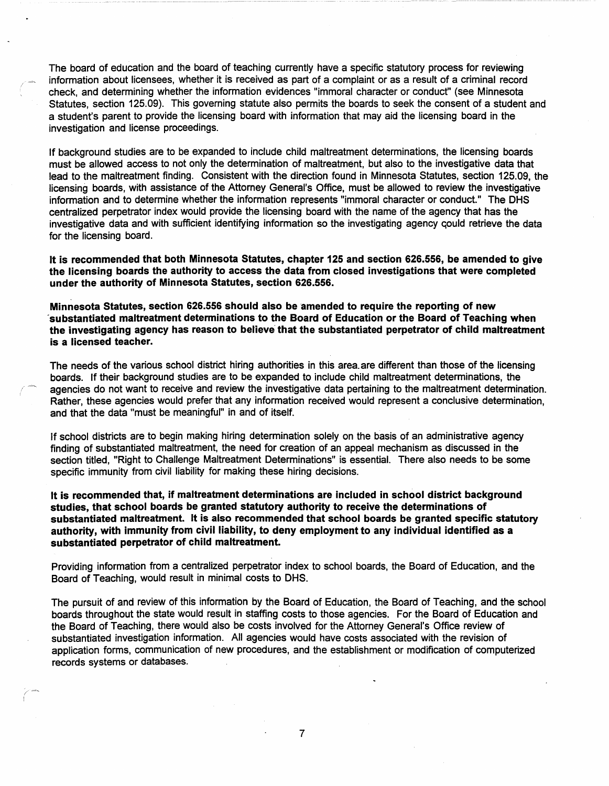The board of education and the board of teaching currently have a specific statutory process for reviewing information about licensees, whether it is received as part of a complaint or as a result of a criminal record check, and determining whether the information evidences "immoral character or conduct" (see Minnesota Statutes, section 125.09). This governing statute also permits the boards to seek the consent of a student and a student's parent to provide the licensing board with information that may aid the licensing board in the investigation and license proceedings.

If background studies are to be expanded to include child maltreatment determinations, the licensing boards must be allowed access to not only the determination of maltreatment, but also to the investigative data that lead to the maltreatment finding. Consistent with the direction found in Minnesota Statutes, section 125.09, the licensing boards, with assistance of the Attorney General's Office, must be allowed to review the investigative information and to determine whether the information represents "immoral character or conduct." The OHS centralized perpetrator index would provide the licensing board with the name of the agency that has the investigative data and with sufficient identifying information so the investigating agency qould retrieve the data for the licensing board.

**It is recommended that both Minnesota Statutes, chapter 125 and section 626.556, be amended to give the licensing boards the authority to access the data from closed investigations that were completed under the authority of Minnesota Statutes, section 626.556.** 

**Minnesota Statutes, section 626.556 should also be amended to require the reporting of new** · **substantiated maltreatment determinations to the Board of Education or the Board of Teaching when the investigating agency has reason to believe that the substantiated perpetrator of child maltreatment is a licensed teacher.** 

The needs of the various school district hiring authorities in this area. are different than those of the licensing boards. If their background studies are to be expanded to include child maltreatment determinations, the agencies do not want to receive and review the investigative data pertaining to the maltreatment determination. Rather, these agencies would prefer that any information received would represent a conclusive determination, and that the data "must be meaningful" in and of itself.

If school districts are to begin making hiring determination solely on the basis of an administrative agency finding of substantiated maltreatment, the need for creation of an appeal mechanism as discussed in the section titled, "Right to Challenge Maltreatment Determinations" is essential. There also needs to be some specific immunity from civil liability for making these hiring decisions.

**It is recommended that, if maltreatment determinations are included in school district background studies, that school boards be granted statutory authority to receive the determinations of substantiated maltreatment. It is also recommended that school boards be granted specific statutory authority, with immunity from civil liability, to deny employment to any individual identified as a substantiated perpetrator of child maltreatment.** 

Providing information from a centralized perpetrator index to school boards, the Board of Education, and the Board of Teaching, would result in minimal costs to OHS.

The pursuit of and review of this information by the Board of Education, the Board of Teaching, and the school boards throughout the state would result in staffing costs to those agencies. For the Board of Education and the Board of Teaching, there would also be costs involved for the Attorney General's Office review of substantiated investigation information. All agencies would have costs associated with the revision of application forms, communication of new procedures, and the establishment or modification of computerized records systems or databases.

7

/ I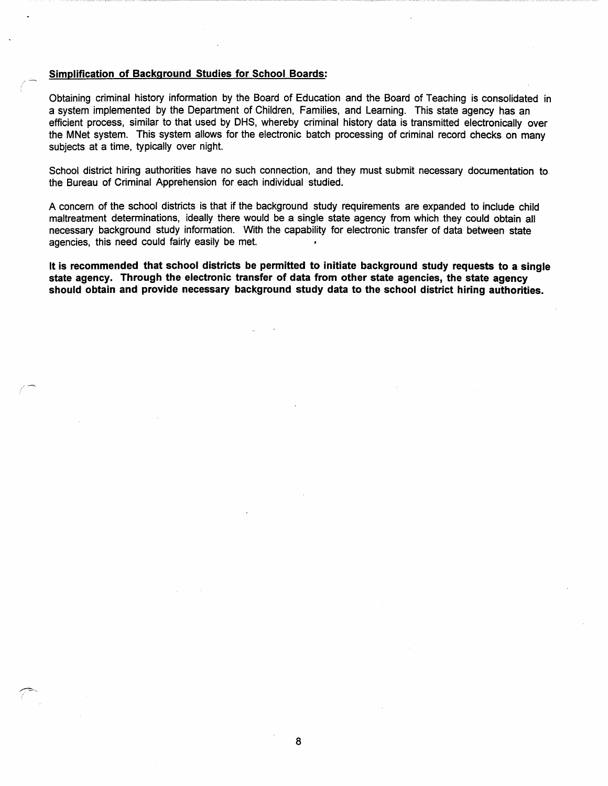# **Simplification of Background Studies for School Boards:**

 $/$   $-$ 

 $\hat{z}$ 

Obtaining criminal history information by the Board of Education and the Board of Teaching is consolidated in a system implemented by the Department of Children, Families, and Learning. This state agency has an efficient process, similar to that used by DHS, whereby criminal history data is transmitted electronically over the MNet system. This system allows for the electronic batch processing of criminal record checks on many subjects at a time, typically over night.

School district hiring authorities have no such connection, and they must submit necessary documentation to. the Bureau of Criminal Apprehension for each individual studied.

A concern of the school districts is that if the background study requirements are expanded to include child maltreatment determinations, ideally there would be a single state agency from which they could obtain all necessary background study information. With the capability for electronic transfer of data between state agencies, this need could fairly easily be met.

**It is recommended that school districts be permitted to initiate background study requests to a single state agency. Through the electronic transfer of data from other state agencies, the state agency should obtain and provide necessary background study data to the school district hiring authorities.**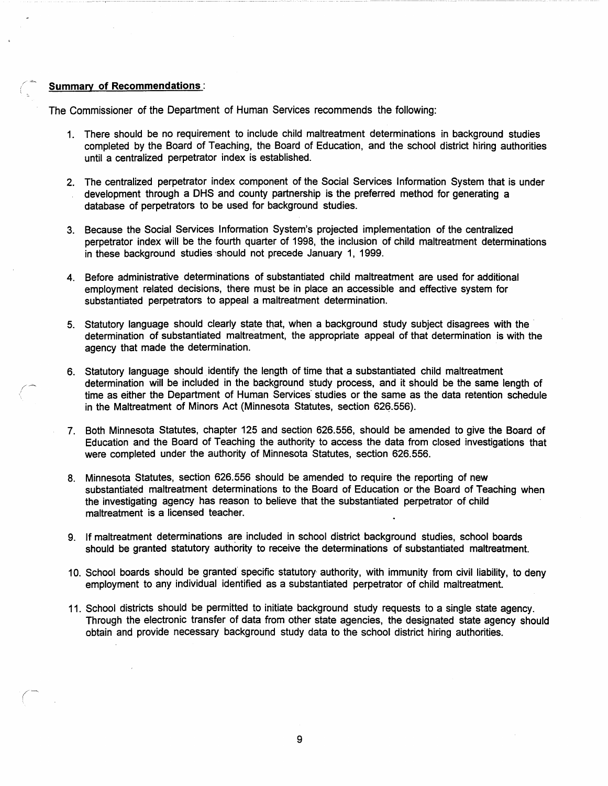# Summary of Recommendations:

 $/$   $\rightarrow$ 

*(-~* 

The Commissioner of the Department of Human Services recommends the following:

- 1. There should be no requirement to include child maltreatment determinations in background studies completed by the Board of Teaching, the Board of Education, and the school district hiring authorities until a centralized perpetrator index is established.
- 2. The centralized perpetrator index component of the Social Services Information System that is under development through a OHS and county partnership is the preferred method for generating a database of perpetrators to be used for background studies.
- 3. Because the Social Services Information System's projected implementation of the centralized perpetrator index will be the fourth quarter of 1998, the inclusion of child maltreatment determinations in these background studies should not precede January 1, 1999.
- 4. Before administrative determinations of substantiated child maltreatment are used for additional employment related decisions, there must be in place an accessible and effective system for substantiated perpetrators to appeal a maltreatment determination.
- 5. Statutory language should clearly state that, when a background study subject disagrees with the · determination of substantiated maltreatment, the appropriate appeal of that determination is with the agency that made the determination.
- 6. Statutory language should identify the length of time that a substantiated child maltreatment determination will be included in the background study process, and it should be the same length of time as either the Department of Human Services studies or the same as the data retention schedule in the Maltreatment of Minors Act (Minnesota Statutes, section 626,556).
- 7. Both Minnesota Statutes, chapter 125 and section 626.556, should be amended to give the Board of Education and the Board of Teaching the authority to access the data from closed investigations that were completed under the authority of Minnesota Statutes, section 626.556.
- 8. Minnesota Statutes, section 626.556 should be amended to require the reporting of new substantiated maltreatment determinations to the Board of Education or the Board of Teaching when the investigating agency has reason to believe that the substantiated perpetrator of child maltreatment is a licensed teacher.
- 9. If maltreatment determinations are included in school district background studies, school boards should be granted statutory authority to receive the determinations of substantiated maltreatment.
- 10. School boards should be granted· specific statutory· authority, with immunity from civil liability, to deny employment to any individual identified as a substantiated perpetrator of child maltreatment.
- 11. School districts should be permitted to initiate background study requests to a single state agency. Through the electronic transfer of data from other state agencies, the designated state agency should obtain and provide necessary background study data to the school district hiring authorities.